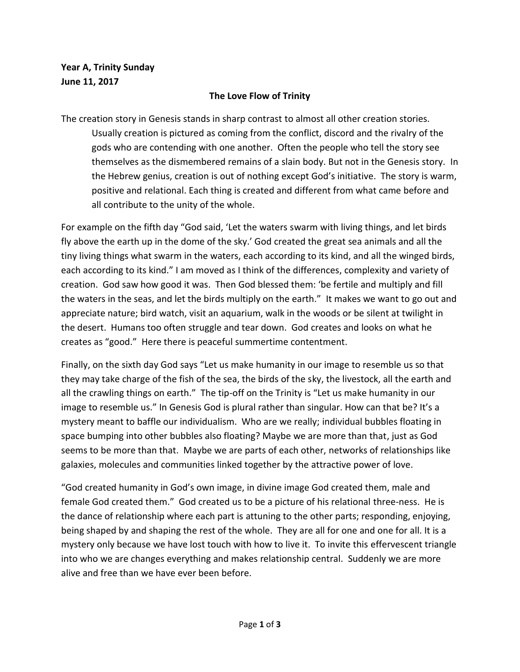## **Year A, Trinity Sunday June 11, 2017**

## **The Love Flow of Trinity**

The creation story in Genesis stands in sharp contrast to almost all other creation stories. Usually creation is pictured as coming from the conflict, discord and the rivalry of the gods who are contending with one another. Often the people who tell the story see themselves as the dismembered remains of a slain body. But not in the Genesis story. In the Hebrew genius, creation is out of nothing except God's initiative. The story is warm, positive and relational. Each thing is created and different from what came before and all contribute to the unity of the whole.

For example on the fifth day "God said, 'Let the waters swarm with living things, and let birds fly above the earth up in the dome of the sky.' God created the great sea animals and all the tiny living things what swarm in the waters, each according to its kind, and all the winged birds, each according to its kind." I am moved as I think of the differences, complexity and variety of creation. God saw how good it was. Then God blessed them: 'be fertile and multiply and fill the waters in the seas, and let the birds multiply on the earth." It makes we want to go out and appreciate nature; bird watch, visit an aquarium, walk in the woods or be silent at twilight in the desert. Humans too often struggle and tear down. God creates and looks on what he creates as "good." Here there is peaceful summertime contentment.

Finally, on the sixth day God says "Let us make humanity in our image to resemble us so that they may take charge of the fish of the sea, the birds of the sky, the livestock, all the earth and all the crawling things on earth." The tip-off on the Trinity is "Let us make humanity in our image to resemble us." In Genesis God is plural rather than singular. How can that be? It's a mystery meant to baffle our individualism. Who are we really; individual bubbles floating in space bumping into other bubbles also floating? Maybe we are more than that, just as God seems to be more than that. Maybe we are parts of each other, networks of relationships like galaxies, molecules and communities linked together by the attractive power of love.

"God created humanity in God's own image, in divine image God created them, male and female God created them." God created us to be a picture of his relational three-ness. He is the dance of relationship where each part is attuning to the other parts; responding, enjoying, being shaped by and shaping the rest of the whole. They are all for one and one for all. It is a mystery only because we have lost touch with how to live it. To invite this effervescent triangle into who we are changes everything and makes relationship central. Suddenly we are more alive and free than we have ever been before.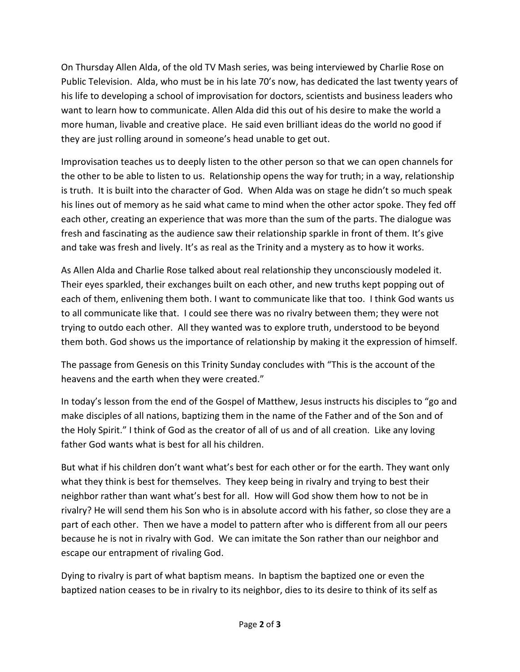On Thursday Allen Alda, of the old TV Mash series, was being interviewed by Charlie Rose on Public Television. Alda, who must be in his late 70's now, has dedicated the last twenty years of his life to developing a school of improvisation for doctors, scientists and business leaders who want to learn how to communicate. Allen Alda did this out of his desire to make the world a more human, livable and creative place. He said even brilliant ideas do the world no good if they are just rolling around in someone's head unable to get out.

Improvisation teaches us to deeply listen to the other person so that we can open channels for the other to be able to listen to us. Relationship opens the way for truth; in a way, relationship is truth. It is built into the character of God. When Alda was on stage he didn't so much speak his lines out of memory as he said what came to mind when the other actor spoke. They fed off each other, creating an experience that was more than the sum of the parts. The dialogue was fresh and fascinating as the audience saw their relationship sparkle in front of them. It's give and take was fresh and lively. It's as real as the Trinity and a mystery as to how it works.

As Allen Alda and Charlie Rose talked about real relationship they unconsciously modeled it. Their eyes sparkled, their exchanges built on each other, and new truths kept popping out of each of them, enlivening them both. I want to communicate like that too. I think God wants us to all communicate like that. I could see there was no rivalry between them; they were not trying to outdo each other. All they wanted was to explore truth, understood to be beyond them both. God shows us the importance of relationship by making it the expression of himself.

The passage from Genesis on this Trinity Sunday concludes with "This is the account of the heavens and the earth when they were created."

In today's lesson from the end of the Gospel of Matthew, Jesus instructs his disciples to "go and make disciples of all nations, baptizing them in the name of the Father and of the Son and of the Holy Spirit." I think of God as the creator of all of us and of all creation. Like any loving father God wants what is best for all his children.

But what if his children don't want what's best for each other or for the earth. They want only what they think is best for themselves. They keep being in rivalry and trying to best their neighbor rather than want what's best for all. How will God show them how to not be in rivalry? He will send them his Son who is in absolute accord with his father, so close they are a part of each other. Then we have a model to pattern after who is different from all our peers because he is not in rivalry with God. We can imitate the Son rather than our neighbor and escape our entrapment of rivaling God.

Dying to rivalry is part of what baptism means. In baptism the baptized one or even the baptized nation ceases to be in rivalry to its neighbor, dies to its desire to think of its self as